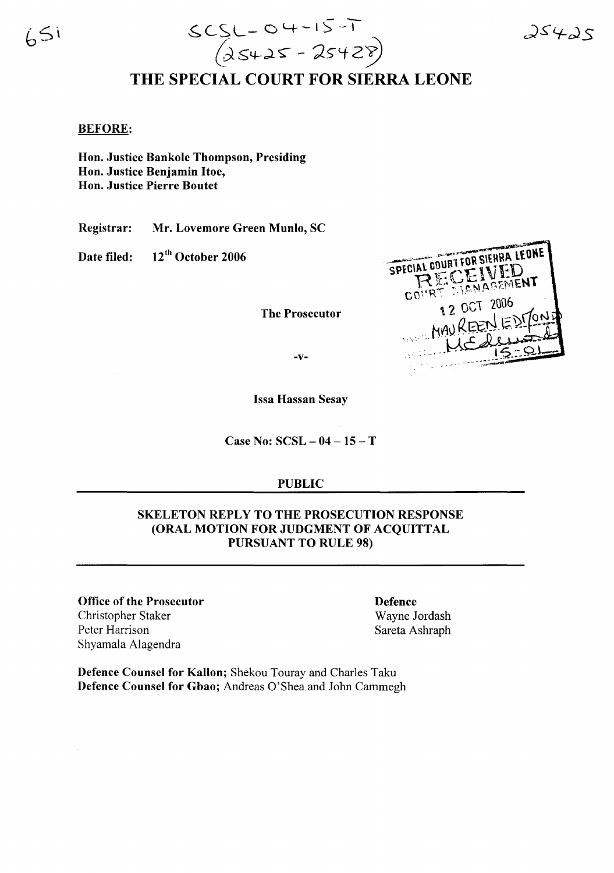$65i$ 



# THE SPECIAL COURT FOR SIERRA LEONE

#### BEFORE:

Hon. Justice Bankole Thompson, Presiding Hon. Justice Benjamin Hoe, Hon. Justice Pierre Boutet

Registrar: Mr. Lovemore Green Munlo, SC

Date filed: 12<sup>th</sup> October 2006

The Prosecutor

SPECIAL COURT FOR SIERRA LEONE RECEIVED **CEIVERNT** 1 2 OCT 2006 MAU REE

-v-

Issa Hassan Sesay

Case No: SCSL - 04 - 15 - T

#### PUBLIC

### SKELETON REPLY TO THE PROSECUTION RESPONSE (ORAL MOTION FOR JUDGMENT OF ACQUITTAL PURSUANT TO RULE 98)

Office of the Prosecutor Christopher Staker Peter Harrison Shyamala Alagendra

Defence Wayne Jordash Sareta Ashraph

Defence Counsel for Kallon; Shekou Touray and Charles Taku Defence Counsel for Gbao; Andreas O'Shea and John Cammegh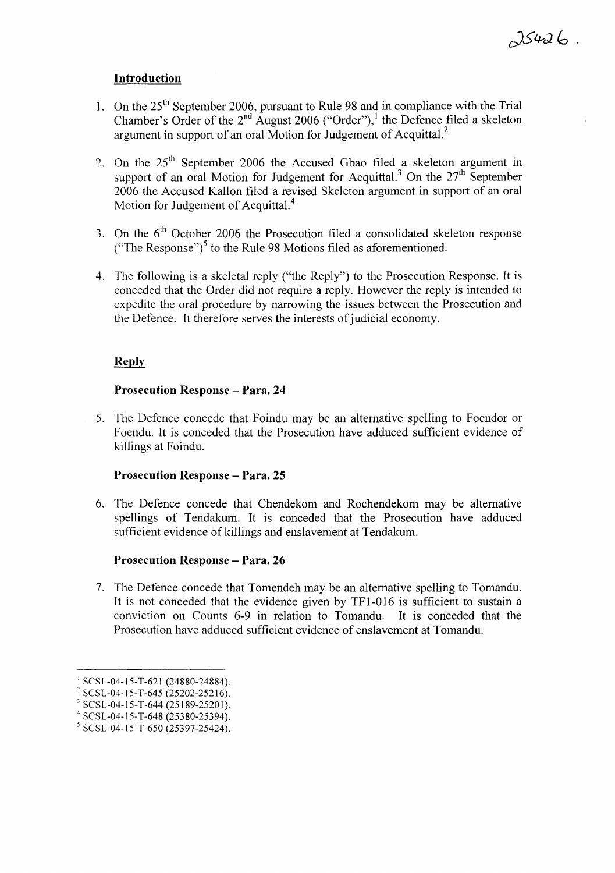# **Introduction**

- 1. On the  $25<sup>th</sup>$  September 2006, pursuant to Rule 98 and in compliance with the Trial Chamber's Order of the  $2<sup>nd</sup>$  August 2006 ("Order"),<sup>1</sup> the Defence filed a skeleton argument in support of an oral Motion for Judgement of Acquittal. $^2$
- 2. On the  $25<sup>th</sup>$  September 2006 the Accused Gbao filed a skeleton argument in support of an oral Motion for Judgement for Acquittal.<sup>3</sup> On the  $27<sup>th</sup>$  September 2006 the Accused Kal10n filed a revised Skeleton argument in support of an oral Motion for Judgement of Acquittal.<sup>4</sup>
- 3. On the  $6<sup>th</sup>$  October 2006 the Prosecution filed a consolidated skeleton response ("The Response")<sup>5</sup> to the Rule 98 Motions filed as aforementioned.
- 4. The fol1owing is a skeletal reply ("the Reply") to the Prosecution Response. It is conceded that the Order did not require a reply. However the reply is intended to expedite the oral procedure by narrowing the issues between the Prosecution and the Defence. It therefore serves the interests of judicial economy.

# **Reply**

## **Prosecution Response - Para. 24**

5. The Defence concede that Foindu may be an alternative spelling to Foendor or Foendu. It is conceded that the Prosecution have adduced sufficient evidence of killings at Foindu.

## **Prosecution Response - Para. 25**

6. The Defence concede that Chendekom and Rochendekom may be alternative spellings of Tendakum. It is conceded that the Prosecution have adduced sufficient evidence of killings and enslavement at Tendakum.

## **Prosecution Response - Para. 26**

7. The Defence concede that Tomendeh may be an alternative spel1ing to Tomandu. It is not conceded that the evidence given by TFI-016 is sufficient to sustain a conviction on Counts 6-9 in relation to Tomandu. It is conceded that the Prosecution have adduced sufficient evidence of enslavement at Tomandu.

 $1$  SCSL-04-15-T-621 (24880-24884).

 $2$  SCSL-04-15-T-645 (25202-25216).

 $3$  SCSL-04-15-T-644 (25189-25201).

 $4$  SCSL-04-15-T-648 (25380-25394).

<sup>5</sup> SCSL-04-15-*T-650 (25397-25424).*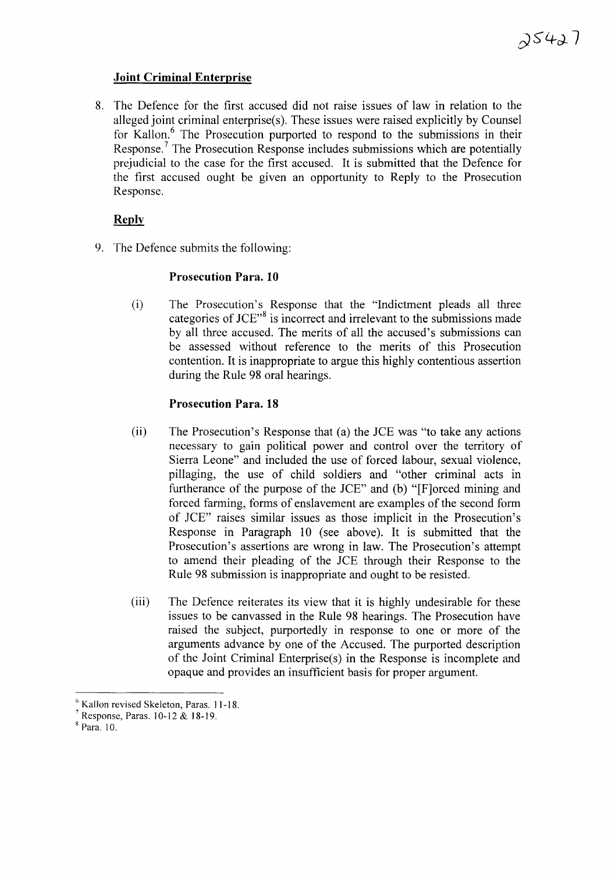## **Joint Criminal Enterprise**

8. The Defence for the first accused did not raise issues of law in relation to the alleged joint criminal enterprise(s). These issues were raised explicitly by Counsel for Kallon.<sup>6</sup> The Prosecution purported to respond to the submissions in their Response.<sup>7</sup> The Prosecution Response includes submissions which are potentially prejudicial to the case for the first accused. It is submitted that the Defence for the first accused ought be given an opportunity to Reply to the Prosecution Response.

# **Reply**

9. The Defence submits the following:

# **Prosecution Para. 10**

(i) The Prosecution's Response that the "Indictment pleads all three categories of JCE $^{\prime\prime}$ <sup>8</sup> is incorrect and irrelevant to the submissions made by all three accused. The merits of all the accused's submissions can be assessed without reference to the merits of this Prosecution contention. It is inappropriate to argue this highly contentious assertion during the Rule 98 oral hearings.

# **Prosecution Para. 18**

- (ii) The Prosecution's Response that (a) the JCE was "to take any actions necessary to gain political power and control over the territory of Sierra Leone" and included the use of forced labour, sexual violence, pillaging, the use of child soldiers and "other criminal acts in furtherance of the purpose of the JCE" and (b) "[F]orced mining and forced farming, forms of enslavement are examples of the second form of JCE" raises similar issues as those implicit in the Prosecution's Response in Paragraph 10 (see above). It is submitted that the Prosecution's assertions are wrong in law. The Prosecution's attempt to amend their pleading of the JCE through their Response to the Rule 98 submission is inappropriate and ought to be resisted.
- (iii) The Defence reiterates its view that it is highly undesirable for these issues to be canvassed in the Rule 98 hearings. The Prosecution have raised the subject, purportedly in response to one or more of the arguments advance by one of the Accused. The purported description of the Joint Criminal Enterprise(s) in the Response is incomplete and opaque and provides an insufficient basis for proper argument.

<sup>8</sup> Para. 10.

<sup>6</sup> Kallon revised Skeleton, Paras. 11-18.

<sup>7</sup> Response, Paras. 10-12 & 18-19.